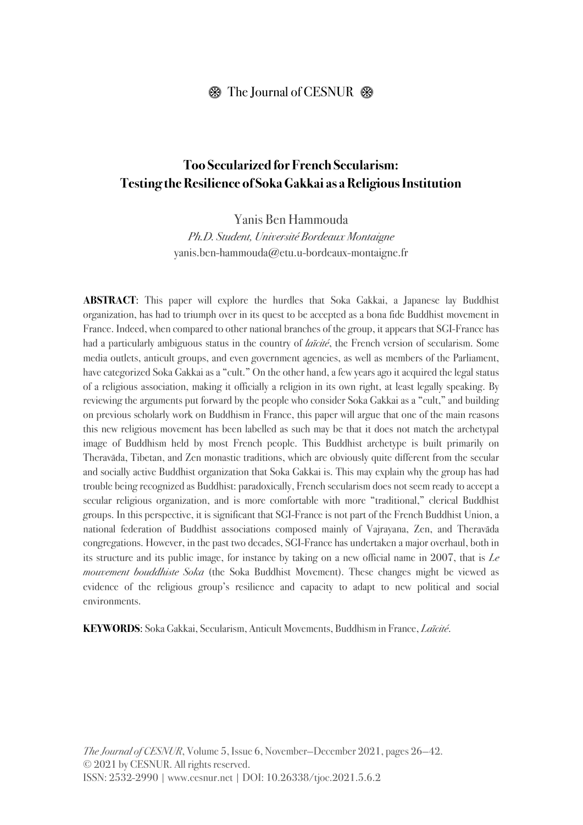### $\circledast$  The Journal of CESNUR  $\circledast$

## **Too Secularized for French Secularism: Testing the Resilience of Soka Gakkai as a Religious Institution**

Yanis Ben Hammouda

*Ph.D. Student, Université Bordeaux Montaigne* yanis.ben-hammouda@etu.u-bordeaux-montaigne.fr

**ABSTRACT**: This paper will explore the hurdles that Soka Gakkai, a Japanese lay Buddhist organization, has had to triumph over in its quest to be accepted as a bona fide Buddhist movement in France. Indeed, when compared to other national branches of the group, it appears that SGI-France has had a particularly ambiguous status in the country of *laïcité*, the French version of secularism. Some media outlets, anticult groups, and even government agencies, as well as members of the Parliament, have categorized Soka Gakkai as a "cult." On the other hand, a few years ago it acquired the legal status of a religious association, making it officially a religion in its own right, at least legally speaking. By reviewing the arguments put forward by the people who consider Soka Gakkai as a "cult," and building on previous scholarly work on Buddhism in France, this paper will argue that one of the main reasons this new religious movement has been labelled as such may be that it does not match the archetypal image of Buddhism held by most French people. This Buddhist archetype is built primarily on Theravāda, Tibetan, and Zen monastic traditions, which are obviously quite different from the secular and socially active Buddhist organization that Soka Gakkai is. This may explain why the group has had trouble being recognized as Buddhist: paradoxically, French secularism does not seem ready to accept a secular religious organization, and is more comfortable with more "traditional," clerical Buddhist groups. In this perspective, it is significant that SGI-France is not part of the French Buddhist Union, a national federation of Buddhist associations composed mainly of Vajrayana, Zen, and Theravāda congregations. However, in the past two decades, SGI-France has undertaken a major overhaul, both in its structure and its public image, for instance by taking on a new official name in 2007, that is *Le mouvement bouddhiste Soka* (the Soka Buddhist Movement). These changes might be viewed as evidence of the religious group's resilience and capacity to adapt to new political and social environments.

**KEYWORDS**: Soka Gakkai, Secularism, Anticult Movements, Buddhism in France, *Laïcité*.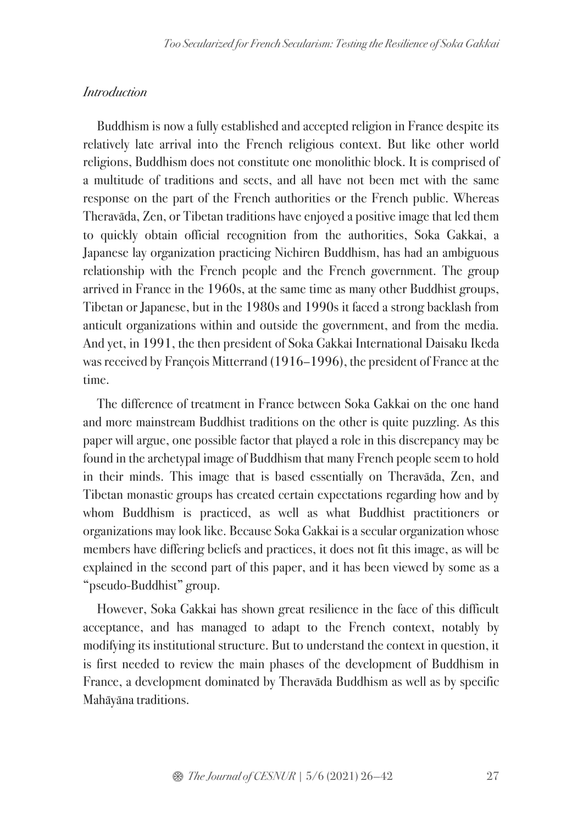### *Introduction*

Buddhism is now a fully established and accepted religion in France despite its relatively late arrival into the French religious context. But like other world religions, Buddhism does not constitute one monolithic block. It is comprised of a multitude of traditions and sects, and all have not been met with the same response on the part of the French authorities or the French public. Whereas Theravāda, Zen, or Tibetan traditions have enjoyed a positive image that led them to quickly obtain official recognition from the authorities, Soka Gakkai, a Japanese lay organization practicing Nichiren Buddhism, has had an ambiguous relationship with the French people and the French government. The group arrived in France in the 1960s, at the same time as many other Buddhist groups, Tibetan or Japanese, but in the 1980s and 1990s it faced a strong backlash from anticult organizations within and outside the government, and from the media. And yet, in 1991, the then president of Soka Gakkai International Daisaku Ikeda was received by François Mitterrand (1916–1996), the president of France at the time.

The difference of treatment in France between Soka Gakkai on the one hand and more mainstream Buddhist traditions on the other is quite puzzling. As this paper will argue, one possible factor that played a role in this discrepancy may be found in the archetypal image of Buddhism that many French people seem to hold in their minds. This image that is based essentially on Theravāda, Zen, and Tibetan monastic groups has created certain expectations regarding how and by whom Buddhism is practiced, as well as what Buddhist practitioners or organizations may look like. Because Soka Gakkai is a secular organization whose members have differing beliefs and practices, it does not fit this image, as will be explained in the second part of this paper, and it has been viewed by some as a "pseudo-Buddhist" group.

However, Soka Gakkai has shown great resilience in the face of this difficult acceptance, and has managed to adapt to the French context, notably by modifying its institutional structure. But to understand the context in question, it is first needed to review the main phases of the development of Buddhism in France, a development dominated by Theravāda Buddhism as well as by specific Mahāyāna traditions.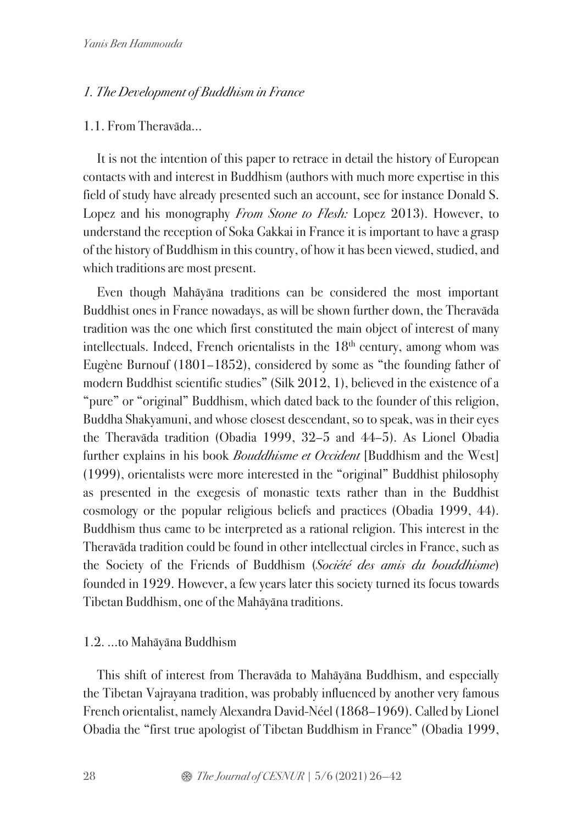# *1. The Development of Buddhism in France*

## 1.1. From Theravāda…

It is not the intention of this paper to retrace in detail the history of European contacts with and interest in Buddhism (authors with much more expertise in this field of study have already presented such an account, see for instance Donald S. Lopez and his monography *From Stone to Flesh:* Lopez 2013). However, to understand the reception of Soka Gakkai in France it is important to have a grasp of the history of Buddhism in this country, of how it has been viewed, studied, and which traditions are most present.

Even though Mahāyāna traditions can be considered the most important Buddhist ones in France nowadays, as will be shown further down, the Theravāda tradition was the one which first constituted the main object of interest of many intellectuals. Indeed, French orientalists in the  $18<sup>th</sup>$  century, among whom was Eugène Burnouf (1801–1852), considered by some as "the founding father of modern Buddhist scientific studies" (Silk 2012, 1), believed in the existence of a "pure" or "original" Buddhism, which dated back to the founder of this religion, Buddha Shakyamuni, and whose closest descendant, so to speak, was in their eyes the Theravāda tradition (Obadia 1999, 32–5 and 44–5). As Lionel Obadia further explains in his book *Bouddhisme et Occident* [Buddhism and the West] (1999), orientalists were more interested in the "original" Buddhist philosophy as presented in the exegesis of monastic texts rather than in the Buddhist cosmology or the popular religious beliefs and practices (Obadia 1999, 44). Buddhism thus came to be interpreted as a rational religion. This interest in the Theravāda tradition could be found in other intellectual circles in France, such as the Society of the Friends of Buddhism (*Société des amis du bouddhisme*) founded in 1929. However, a few years later this society turned its focus towards Tibetan Buddhism, one of the Mahāyāna traditions.

## 1.2. …to Mahāyāna Buddhism

This shift of interest from Theravāda to Mahāyāna Buddhism, and especially the Tibetan Vajrayana tradition, was probably influenced by another very famous French orientalist, namely Alexandra David-Néel (1868–1969). Called by Lionel Obadia the "first true apologist of Tibetan Buddhism in France" (Obadia 1999,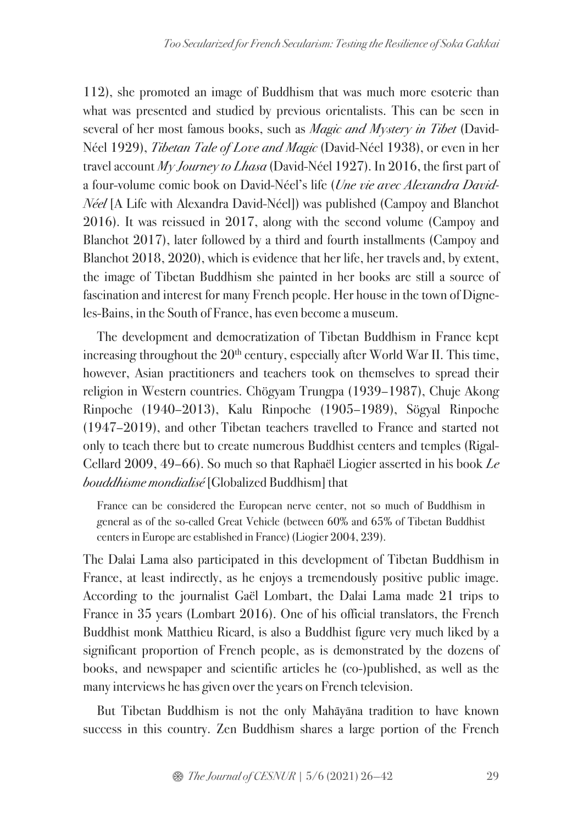112), she promoted an image of Buddhism that was much more esoteric than what was presented and studied by previous orientalists. This can be seen in several of her most famous books, such as *Magic and Mystery in Tibet* (David-Néel 1929), *Tibetan Tale of Love and Magic* (David-Néel 1938), or even in her travel account *My Journey to Lhasa* (David-Néel 1927). In 2016, the first part of a four-volume comic book on David-Néel's life (*Une vie avec Alexandra David-Néel* [A Life with Alexandra David-Néel]) was published (Campoy and Blanchot 2016). It was reissued in 2017, along with the second volume (Campoy and Blanchot 2017), later followed by a third and fourth installments (Campoy and Blanchot 2018, 2020), which is evidence that her life, her travels and, by extent, the image of Tibetan Buddhism she painted in her books are still a source of fascination and interest for many French people. Her house in the town of Digneles-Bains, in the South of France, has even become a museum.

The development and democratization of Tibetan Buddhism in France kept increasing throughout the  $20<sup>th</sup>$  century, especially after World War II. This time, however, Asian practitioners and teachers took on themselves to spread their religion in Western countries. Chögyam Trungpa (1939–1987), Chuje Akong Rinpoche (1940–2013), Kalu Rinpoche (1905–1989), Sögyal Rinpoche (1947–2019), and other Tibetan teachers travelled to France and started not only to teach there but to create numerous Buddhist centers and temples (Rigal-Cellard 2009, 49–66). So much so that Raphaël Liogier asserted in his book *Le bouddhisme mondialisé* [Globalized Buddhism] that

France can be considered the European nerve center, not so much of Buddhism in general as of the so-called Great Vehicle (between 60% and 65% of Tibetan Buddhist centers in Europe are established in France) (Liogier 2004, 239).

The Dalai Lama also participated in this development of Tibetan Buddhism in France, at least indirectly, as he enjoys a tremendously positive public image. According to the journalist Gaël Lombart, the Dalai Lama made 21 trips to France in 35 years (Lombart 2016). One of his official translators, the French Buddhist monk Matthieu Ricard, is also a Buddhist figure very much liked by a significant proportion of French people, as is demonstrated by the dozens of books, and newspaper and scientific articles he (co-)published, as well as the many interviews he has given over the years on French television.

But Tibetan Buddhism is not the only Mahāyāna tradition to have known success in this country. Zen Buddhism shares a large portion of the French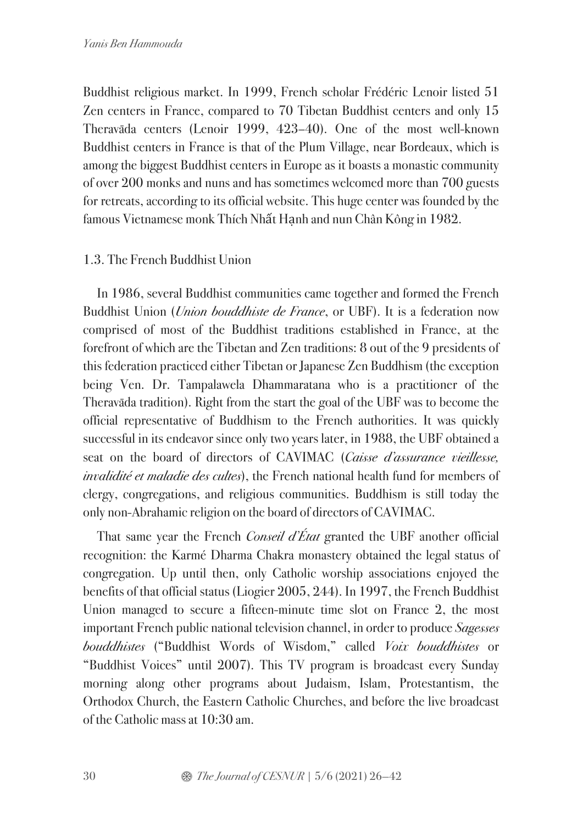Buddhist religious market. In 1999, French scholar Frédéric Lenoir listed 51 Zen centers in France, compared to 70 Tibetan Buddhist centers and only 15 Theravāda centers (Lenoir 1999, 423–40). One of the most well-known Buddhist centers in France is that of the Plum Village, near Bordeaux, which is among the biggest Buddhist centers in Europe as it boasts a monastic community of over 200 monks and nuns and has sometimes welcomed more than 700 guests for retreats, according to its official website. This huge center was founded by the famous Vietnamese monk Thích Nhất Hạnh and nun Chân Kông in 1982.

## 1.3. The French Buddhist Union

In 1986, several Buddhist communities came together and formed the French Buddhist Union (*Union bouddhiste de France*, or UBF). It is a federation now comprised of most of the Buddhist traditions established in France, at the forefront of which are the Tibetan and Zen traditions: 8 out of the 9 presidents of this federation practiced either Tibetan or Japanese Zen Buddhism (the exception being Ven. Dr. Tampalawela Dhammaratana who is a practitioner of the Theravāda tradition). Right from the start the goal of the UBF was to become the official representative of Buddhism to the French authorities. It was quickly successful in its endeavor since only two years later, in 1988, the UBF obtained a seat on the board of directors of CAVIMAC (*Caisse d'assurance vieillesse, invalidité et maladie des cultes*), the French national health fund for members of clergy, congregations, and religious communities. Buddhism is still today the only non-Abrahamic religion on the board of directors of CAVIMAC.

That same year the French *Conseil d'État* granted the UBF another official recognition: the Karmé Dharma Chakra monastery obtained the legal status of congregation. Up until then, only Catholic worship associations enjoyed the benefits of that official status (Liogier 2005, 244). In 1997, the French Buddhist Union managed to secure a fifteen-minute time slot on France 2, the most important French public national television channel, in order to produce *Sagesses bouddhistes* ("Buddhist Words of Wisdom," called *Voix bouddhistes* or "Buddhist Voices" until 2007). This TV program is broadcast every Sunday morning along other programs about Judaism, Islam, Protestantism, the Orthodox Church, the Eastern Catholic Churches, and before the live broadcast of the Catholic mass at 10:30 am.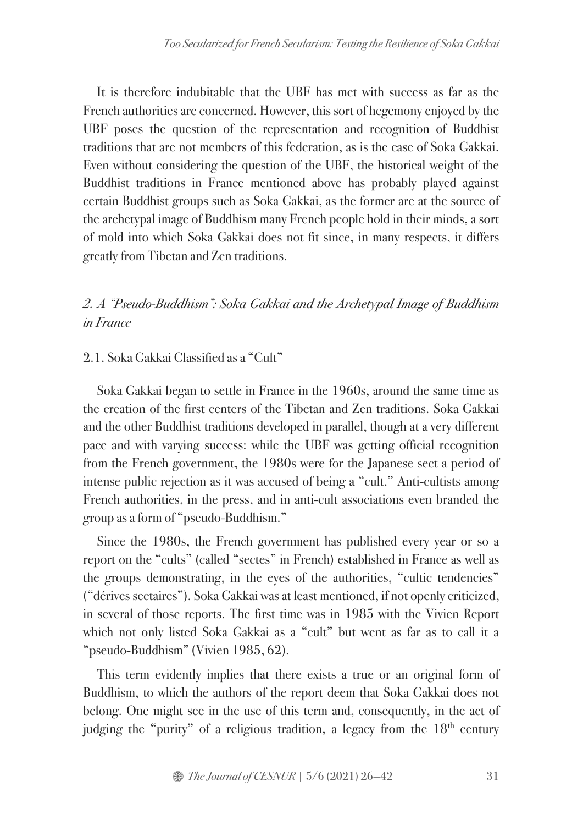It is therefore indubitable that the UBF has met with success as far as the French authorities are concerned. However, this sort of hegemony enjoyed by the UBF poses the question of the representation and recognition of Buddhist traditions that are not members of this federation, as is the case of Soka Gakkai. Even without considering the question of the UBF, the historical weight of the Buddhist traditions in France mentioned above has probably played against certain Buddhist groups such as Soka Gakkai, as the former are at the source of the archetypal image of Buddhism many French people hold in their minds, a sort of mold into which Soka Gakkai does not fit since, in many respects, it differs greatly from Tibetan and Zen traditions.

# *2. A "Pseudo-Buddhism": Soka Gakkai and the Archetypal Image of Buddhism in France*

## 2.1. Soka Gakkai Classified as a "Cult"

Soka Gakkai began to settle in France in the 1960s, around the same time as the creation of the first centers of the Tibetan and Zen traditions. Soka Gakkai and the other Buddhist traditions developed in parallel, though at a very different pace and with varying success: while the UBF was getting official recognition from the French government, the 1980s were for the Japanese sect a period of intense public rejection as it was accused of being a "cult." Anti-cultists among French authorities, in the press, and in anti-cult associations even branded the group as a form of "pseudo-Buddhism."

Since the 1980s, the French government has published every year or so a report on the "cults" (called "sectes" in French) established in France as well as the groups demonstrating, in the eyes of the authorities, "cultic tendencies" ("dérives sectaires"). Soka Gakkai was at least mentioned, if not openly criticized, in several of those reports. The first time was in 1985 with the Vivien Report which not only listed Soka Gakkai as a "cult" but went as far as to call it a "pseudo-Buddhism" (Vivien 1985, 62).

This term evidently implies that there exists a true or an original form of Buddhism, to which the authors of the report deem that Soka Gakkai does not belong. One might see in the use of this term and, consequently, in the act of judging the "purity" of a religious tradition, a legacy from the 18<sup>th</sup> century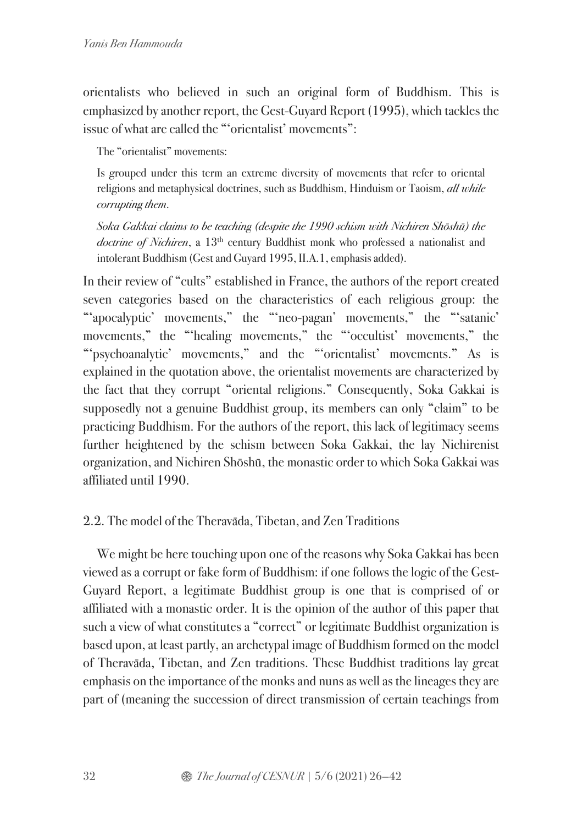orientalists who believed in such an original form of Buddhism. This is emphasized by another report, the Gest-Guyard Report (1995), which tackles the issue of what are called the "'orientalist' movements":

The "orientalist" movements:

Is grouped under this term an extreme diversity of movements that refer to oriental religions and metaphysical doctrines, such as Buddhism, Hinduism or Taoism, *all while corrupting them*.

*Soka Gakkai claims to be teaching (despite the 1990 schism with Nichiren Sh*ō*sh*ū*) the*  doctrine of Nichiren, a 13<sup>th</sup> century Buddhist monk who professed a nationalist and intolerant Buddhism (Gest and Guyard 1995, II.A.1, emphasis added).

In their review of "cults" established in France, the authors of the report created seven categories based on the characteristics of each religious group: the "'apocalyptic' movements," the "'neo-pagan' movements," the "'satanic' movements," the "'healing movements," the "'occultist' movements," the "'psychoanalytic' movements," and the "'orientalist' movements." As is explained in the quotation above, the orientalist movements are characterized by the fact that they corrupt "oriental religions." Consequently, Soka Gakkai is supposedly not a genuine Buddhist group, its members can only "claim" to be practicing Buddhism. For the authors of the report, this lack of legitimacy seems further heightened by the schism between Soka Gakkai, the lay Nichirenist organization, and Nichiren Shōshū, the monastic order to which Soka Gakkai was affiliated until 1990.

### 2.2. The model of the Theravāda, Tibetan, and Zen Traditions

We might be here touching upon one of the reasons why Soka Gakkai has been viewed as a corrupt or fake form of Buddhism: if one follows the logic of the Gest-Guyard Report, a legitimate Buddhist group is one that is comprised of or affiliated with a monastic order. It is the opinion of the author of this paper that such a view of what constitutes a "correct" or legitimate Buddhist organization is based upon, at least partly, an archetypal image of Buddhism formed on the model of Theravāda, Tibetan, and Zen traditions. These Buddhist traditions lay great emphasis on the importance of the monks and nuns as well as the lineages they are part of (meaning the succession of direct transmission of certain teachings from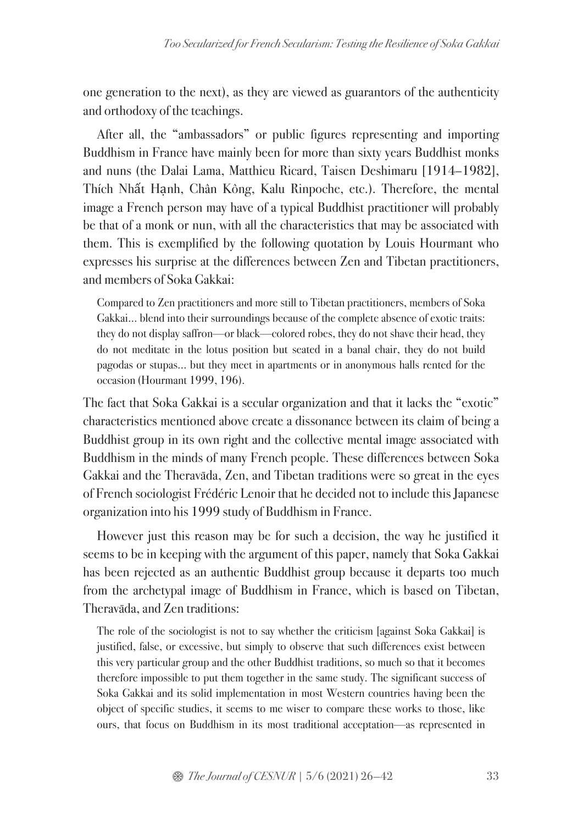one generation to the next), as they are viewed as guarantors of the authenticity and orthodoxy of the teachings.

After all, the "ambassadors" or public figures representing and importing Buddhism in France have mainly been for more than sixty years Buddhist monks and nuns (the Dalai Lama, Matthieu Ricard, Taisen Deshimaru [1914–1982], Thích Nhất Hạnh, Chân Kông, Kalu Rinpoche, etc.). Therefore, the mental image a French person may have of a typical Buddhist practitioner will probably be that of a monk or nun, with all the characteristics that may be associated with them. This is exemplified by the following quotation by Louis Hourmant who expresses his surprise at the differences between Zen and Tibetan practitioners, and members of Soka Gakkai:

Compared to Zen practitioners and more still to Tibetan practitioners, members of Soka Gakkai… blend into their surroundings because of the complete absence of exotic traits: they do not display saffron—or black—colored robes, they do not shave their head, they do not meditate in the lotus position but seated in a banal chair, they do not build pagodas or stupas… but they meet in apartments or in anonymous halls rented for the occasion (Hourmant 1999, 196).

The fact that Soka Gakkai is a secular organization and that it lacks the "exotic" characteristics mentioned above create a dissonance between its claim of being a Buddhist group in its own right and the collective mental image associated with Buddhism in the minds of many French people. These differences between Soka Gakkai and the Theravāda, Zen, and Tibetan traditions were so great in the eyes of French sociologist Frédéric Lenoir that he decided not to include this Japanese organization into his 1999 study of Buddhism in France.

However just this reason may be for such a decision, the way he justified it seems to be in keeping with the argument of this paper, namely that Soka Gakkai has been rejected as an authentic Buddhist group because it departs too much from the archetypal image of Buddhism in France, which is based on Tibetan, Theravāda, and Zen traditions:

The role of the sociologist is not to say whether the criticism [against Soka Gakkai] is justified, false, or excessive, but simply to observe that such differences exist between this very particular group and the other Buddhist traditions, so much so that it becomes therefore impossible to put them together in the same study. The significant success of Soka Gakkai and its solid implementation in most Western countries having been the object of specific studies, it seems to me wiser to compare these works to those, like ours, that focus on Buddhism in its most traditional acceptation—as represented in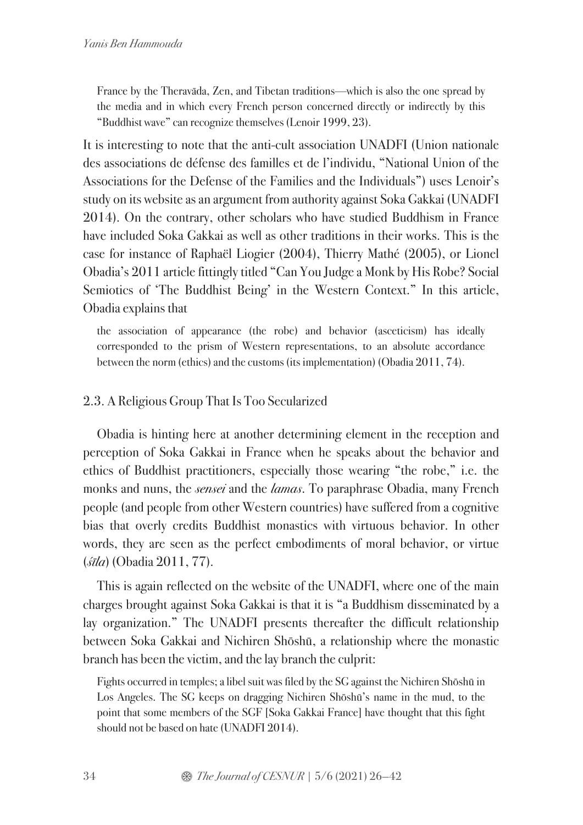France by the Theravāda, Zen, and Tibetan traditions—which is also the one spread by the media and in which every French person concerned directly or indirectly by this "Buddhist wave" can recognize themselves (Lenoir 1999, 23).

It is interesting to note that the anti-cult association UNADFI (Union nationale des associations de défense des familles et de l'individu, "National Union of the Associations for the Defense of the Families and the Individuals") uses Lenoir's study on its website as an argument from authority against Soka Gakkai (UNADFI 2014). On the contrary, other scholars who have studied Buddhism in France have included Soka Gakkai as well as other traditions in their works. This is the case for instance of Raphaël Liogier (2004), Thierry Mathé (2005), or Lionel Obadia's 2011 article fittingly titled "Can You Judge a Monk by His Robe? Social Semiotics of 'The Buddhist Being' in the Western Context." In this article, Obadia explains that

the association of appearance (the robe) and behavior (asceticism) has ideally corresponded to the prism of Western representations, to an absolute accordance between the norm (ethics) and the customs (its implementation) (Obadia 2011, 74).

### 2.3. A Religious Group That Is Too Secularized

Obadia is hinting here at another determining element in the reception and perception of Soka Gakkai in France when he speaks about the behavior and ethics of Buddhist practitioners, especially those wearing "the robe," i.e. the monks and nuns, the *sensei* and the *lamas*. To paraphrase Obadia, many French people (and people from other Western countries) have suffered from a cognitive bias that overly credits Buddhist monastics with virtuous behavior. In other words, they are seen as the perfect embodiments of moral behavior, or virtue (śī*la*) (Obadia 2011, 77).

This is again reflected on the website of the UNADFI, where one of the main charges brought against Soka Gakkai is that it is "a Buddhism disseminated by a lay organization." The UNADFI presents thereafter the difficult relationship between Soka Gakkai and Nichiren Shōshū, a relationship where the monastic branch has been the victim, and the lay branch the culprit:

Fights occurred in temples; a libel suit was filed by the SG against the Nichiren Shōshū in Los Angeles. The SG keeps on dragging Nichiren Shōshū's name in the mud, to the point that some members of the SGF [Soka Gakkai France] have thought that this fight should not be based on hate (UNADFI 2014).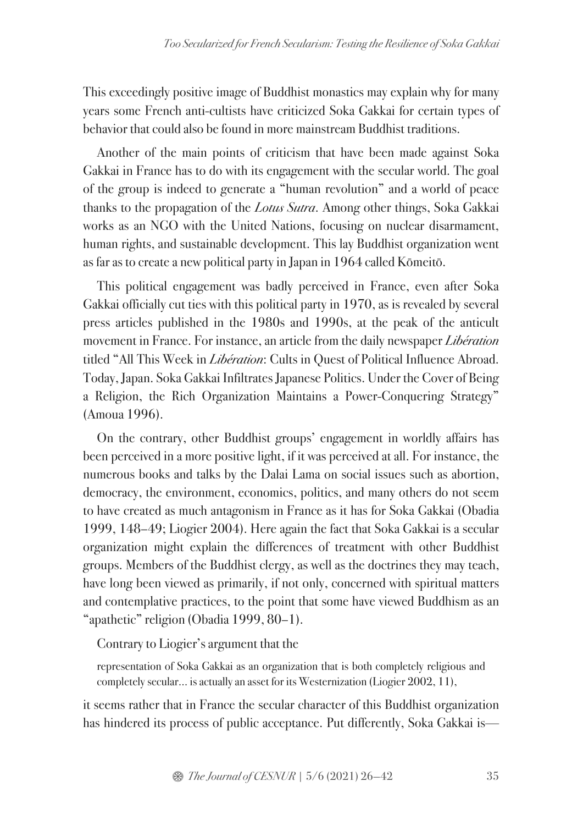This exceedingly positive image of Buddhist monastics may explain why for many years some French anti-cultists have criticized Soka Gakkai for certain types of behavior that could also be found in more mainstream Buddhist traditions.

Another of the main points of criticism that have been made against Soka Gakkai in France has to do with its engagement with the secular world. The goal of the group is indeed to generate a "human revolution" and a world of peace thanks to the propagation of the *Lotus Sutra*. Among other things, Soka Gakkai works as an NGO with the United Nations, focusing on nuclear disarmament, human rights, and sustainable development. This lay Buddhist organization went as far as to create a new political party in Japan in 1964 called Kōmeitō.

This political engagement was badly perceived in France, even after Soka Gakkai officially cut ties with this political party in 1970, as is revealed by several press articles published in the 1980s and 1990s, at the peak of the anticult movement in France. For instance, an article from the daily newspaper *Libération* titled "All This Week in *Libération*: Cults in Quest of Political Influence Abroad. Today, Japan. Soka Gakkai Infiltrates Japanese Politics. Under the Cover of Being a Religion, the Rich Organization Maintains a Power-Conquering Strategy" (Amoua 1996).

On the contrary, other Buddhist groups' engagement in worldly affairs has been perceived in a more positive light, if it was perceived at all. For instance, the numerous books and talks by the Dalai Lama on social issues such as abortion, democracy, the environment, economics, politics, and many others do not seem to have created as much antagonism in France as it has for Soka Gakkai (Obadia 1999, 148–49; Liogier 2004). Here again the fact that Soka Gakkai is a secular organization might explain the differences of treatment with other Buddhist groups. Members of the Buddhist clergy, as well as the doctrines they may teach, have long been viewed as primarily, if not only, concerned with spiritual matters and contemplative practices, to the point that some have viewed Buddhism as an "apathetic" religion (Obadia 1999, 80–1).

Contrary to Liogier's argument that the

representation of Soka Gakkai as an organization that is both completely religious and completely secular… is actually an asset for its Westernization (Liogier 2002, 11),

it seems rather that in France the secular character of this Buddhist organization has hindered its process of public acceptance. Put differently, Soka Gakkai is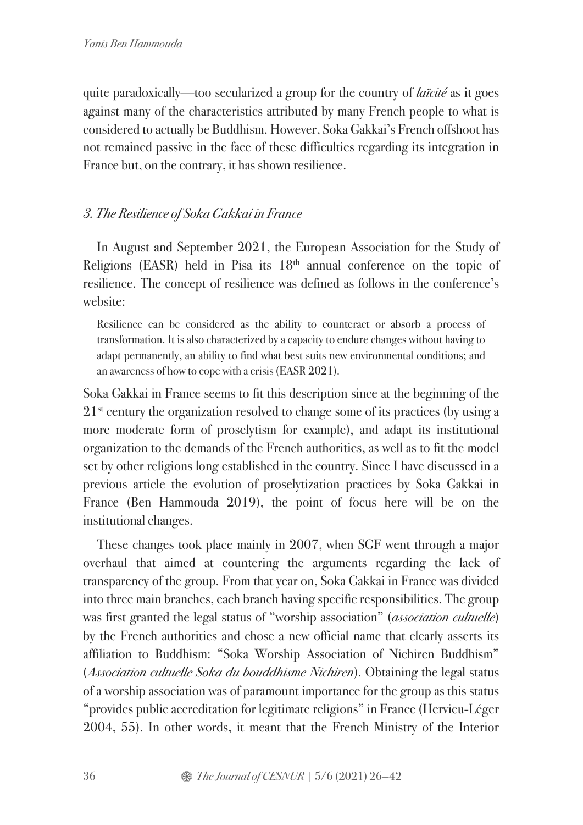quite paradoxically—too secularized a group for the country of *laïcité* as it goes against many of the characteristics attributed by many French people to what is considered to actually be Buddhism. However, Soka Gakkai's French offshoot has not remained passive in the face of these difficulties regarding its integration in France but, on the contrary, it has shown resilience.

## *3. The Resilience of Soka Gakkai in France*

In August and September 2021, the European Association for the Study of Religions (EASR) held in Pisa its  $18<sup>th</sup>$  annual conference on the topic of resilience. The concept of resilience was defined as follows in the conference's website:

Resilience can be considered as the ability to counteract or absorb a process of transformation. It is also characterized by a capacity to endure changes without having to adapt permanently, an ability to find what best suits new environmental conditions; and an awareness of how to cope with a crisis (EASR 2021).

Soka Gakkai in France seems to fit this description since at the beginning of the  $21<sup>st</sup>$  century the organization resolved to change some of its practices (by using a more moderate form of proselytism for example), and adapt its institutional organization to the demands of the French authorities, as well as to fit the model set by other religions long established in the country. Since I have discussed in a previous article the evolution of proselytization practices by Soka Gakkai in France (Ben Hammouda 2019), the point of focus here will be on the institutional changes.

These changes took place mainly in 2007, when SGF went through a major overhaul that aimed at countering the arguments regarding the lack of transparency of the group. From that year on, Soka Gakkai in France was divided into three main branches, each branch having specific responsibilities. The group was first granted the legal status of "worship association" (*association cultuelle*) by the French authorities and chose a new official name that clearly asserts its affiliation to Buddhism: "Soka Worship Association of Nichiren Buddhism" (*Association cultuelle Soka du bouddhisme Nichiren*). Obtaining the legal status of a worship association was of paramount importance for the group as this status "provides public accreditation for legitimate religions" in France (Hervieu-Léger 2004, 55). In other words, it meant that the French Ministry of the Interior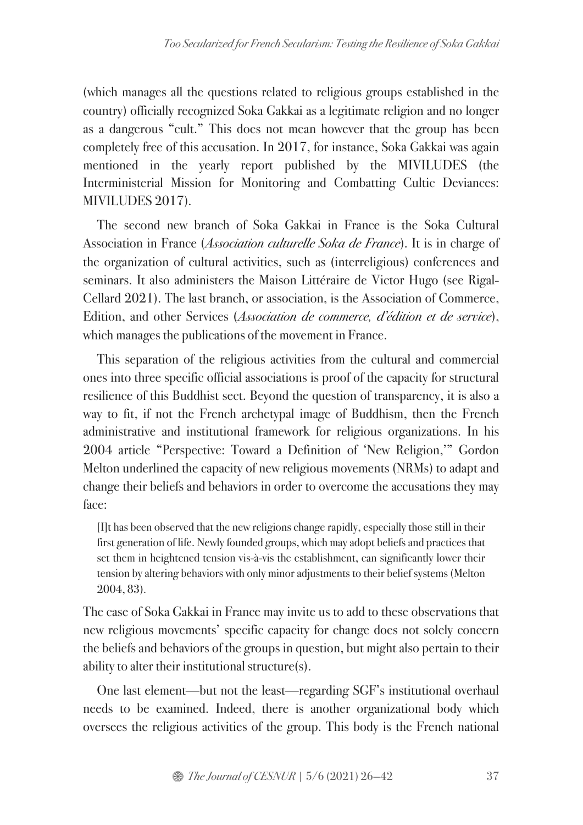(which manages all the questions related to religious groups established in the country) officially recognized Soka Gakkai as a legitimate religion and no longer as a dangerous "cult." This does not mean however that the group has been completely free of this accusation. In 2017, for instance, Soka Gakkai was again mentioned in the yearly report published by the MIVILUDES (the Interministerial Mission for Monitoring and Combatting Cultic Deviances: MIVILUDES 2017).

The second new branch of Soka Gakkai in France is the Soka Cultural Association in France (*Association culturelle Soka de France*). It is in charge of the organization of cultural activities, such as (interreligious) conferences and seminars. It also administers the Maison Littéraire de Victor Hugo (see Rigal-Cellard 2021). The last branch, or association, is the Association of Commerce, Edition, and other Services (*Association de commerce, d'édition et de service*), which manages the publications of the movement in France.

This separation of the religious activities from the cultural and commercial ones into three specific official associations is proof of the capacity for structural resilience of this Buddhist sect. Beyond the question of transparency, it is also a way to fit, if not the French archetypal image of Buddhism, then the French administrative and institutional framework for religious organizations. In his 2004 article "Perspective: Toward a Definition of 'New Religion,'" Gordon Melton underlined the capacity of new religious movements (NRMs) to adapt and change their beliefs and behaviors in order to overcome the accusations they may face:

[I]t has been observed that the new religions change rapidly, especially those still in their first generation of life. Newly founded groups, which may adopt beliefs and practices that set them in heightened tension vis-à-vis the establishment, can significantly lower their tension by altering behaviors with only minor adjustments to their belief systems (Melton 2004, 83).

The case of Soka Gakkai in France may invite us to add to these observations that new religious movements' specific capacity for change does not solely concern the beliefs and behaviors of the groups in question, but might also pertain to their ability to alter their institutional structure(s).

One last element—but not the least—regarding SGF's institutional overhaul needs to be examined. Indeed, there is another organizational body which oversees the religious activities of the group. This body is the French national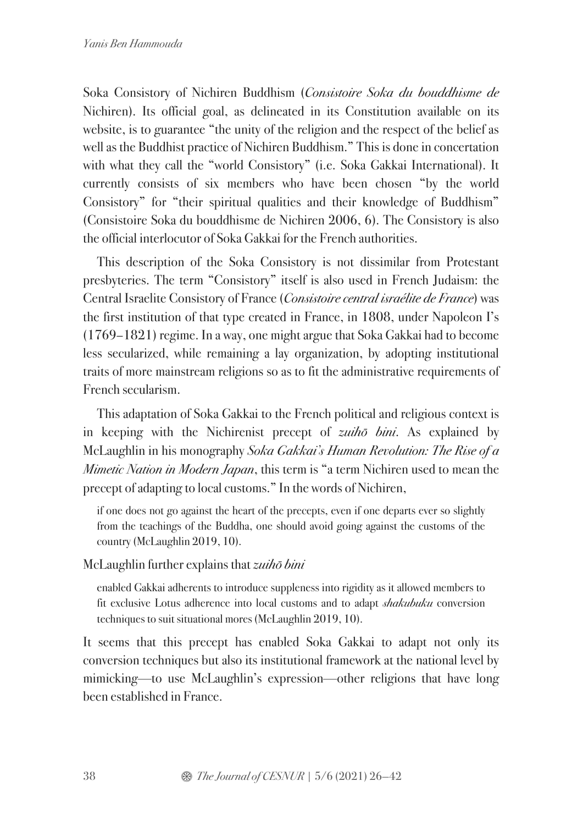Soka Consistory of Nichiren Buddhism (*Consistoire Soka du bouddhisme de* Nichiren). Its official goal, as delineated in its Constitution available on its website, is to guarantee "the unity of the religion and the respect of the belief as well as the Buddhist practice of Nichiren Buddhism." This is done in concertation with what they call the "world Consistory" (i.e. Soka Gakkai International). It currently consists of six members who have been chosen "by the world Consistory" for "their spiritual qualities and their knowledge of Buddhism" (Consistoire Soka du bouddhisme de Nichiren 2006, 6). The Consistory is also the official interlocutor of Soka Gakkai for the French authorities.

This description of the Soka Consistory is not dissimilar from Protestant presbyteries. The term "Consistory" itself is also used in French Judaism: the Central Israelite Consistory of France (*Consistoire central israélite de France*) was the first institution of that type created in France, in 1808, under Napoleon I's (1769–1821) regime. In a way, one might argue that Soka Gakkai had to become less secularized, while remaining a lay organization, by adopting institutional traits of more mainstream religions so as to fit the administrative requirements of French secularism.

This adaptation of Soka Gakkai to the French political and religious context is in keeping with the Nichirenist precept of *zuih*ō *bini*. As explained by McLaughlin in his monography *Soka Gakkai's Human Revolution: The Rise of a Mimetic Nation in Modern Japan*, this term is "a term Nichiren used to mean the precept of adapting to local customs." In the words of Nichiren,

if one does not go against the heart of the precepts, even if one departs ever so slightly from the teachings of the Buddha, one should avoid going against the customs of the country (McLaughlin 2019, 10).

McLaughlin further explains that *zuih*ō *bini*

enabled Gakkai adherents to introduce suppleness into rigidity as it allowed members to fit exclusive Lotus adherence into local customs and to adapt *shakubuku* conversion techniques to suit situational mores (McLaughlin 2019, 10).

It seems that this precept has enabled Soka Gakkai to adapt not only its conversion techniques but also its institutional framework at the national level by mimicking—to use McLaughlin's expression—other religions that have long been established in France.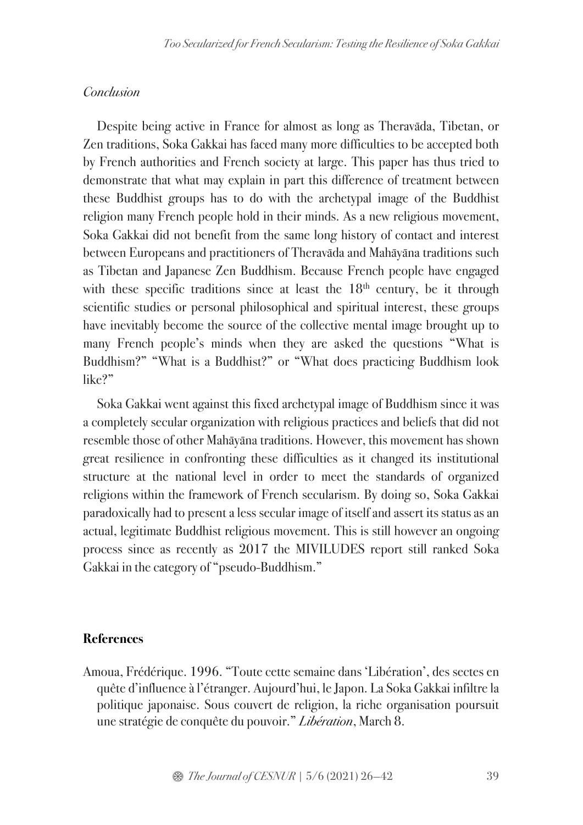### *Conclusion*

Despite being active in France for almost as long as Theravāda, Tibetan, or Zen traditions, Soka Gakkai has faced many more difficulties to be accepted both by French authorities and French society at large. This paper has thus tried to demonstrate that what may explain in part this difference of treatment between these Buddhist groups has to do with the archetypal image of the Buddhist religion many French people hold in their minds. As a new religious movement, Soka Gakkai did not benefit from the same long history of contact and interest between Europeans and practitioners of Theravāda and Mahāyāna traditions such as Tibetan and Japanese Zen Buddhism. Because French people have engaged with these specific traditions since at least the  $18<sup>th</sup>$  century, be it through scientific studies or personal philosophical and spiritual interest, these groups have inevitably become the source of the collective mental image brought up to many French people's minds when they are asked the questions "What is Buddhism?" "What is a Buddhist?" or "What does practicing Buddhism look like?"

Soka Gakkai went against this fixed archetypal image of Buddhism since it was a completely secular organization with religious practices and beliefs that did not resemble those of other Mahāyāna traditions. However, this movement has shown great resilience in confronting these difficulties as it changed its institutional structure at the national level in order to meet the standards of organized religions within the framework of French secularism. By doing so, Soka Gakkai paradoxically had to present a less secular image of itself and assert its status as an actual, legitimate Buddhist religious movement. This is still however an ongoing process since as recently as 2017 the MIVILUDES report still ranked Soka Gakkai in the category of "pseudo-Buddhism."

### **References**

Amoua, Frédérique. 1996. "Toute cette semaine dans 'Libération', des sectes en quête d'influence à l'étranger. Aujourd'hui, le Japon. La Soka Gakkai infiltre la politique japonaise. Sous couvert de religion, la riche organisation poursuit une stratégie de conquête du pouvoir." *Libération*, March 8.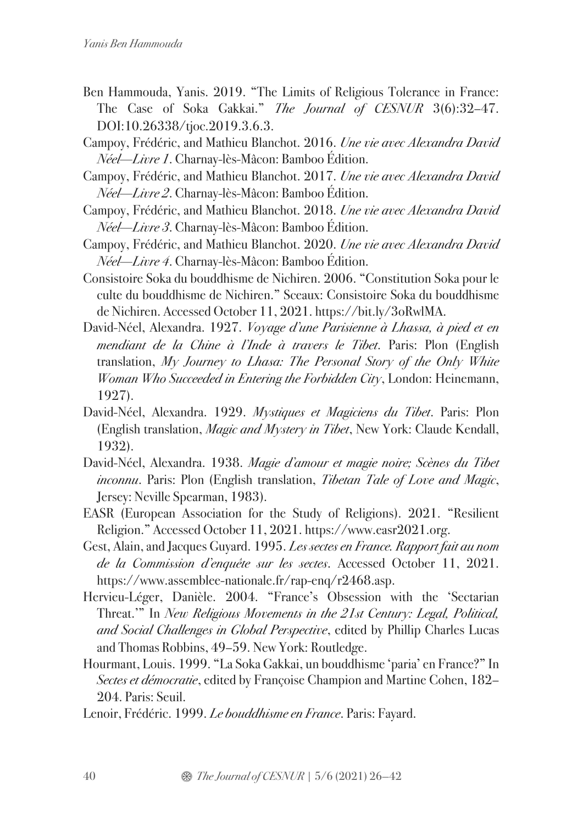- Ben Hammouda, Yanis. 2019. "The Limits of Religious Tolerance in France: The Case of Soka Gakkai." *The Journal of CESNUR* 3(6):32–47. DOI:10.26338/tjoc.2019.3.6.3.
- Campoy, Frédéric, and Mathieu Blanchot. 2016. *Une vie avec Alexandra David Néel—Livre 1*. Charnay-lès-Mâcon: Bamboo Édition.
- Campoy, Frédéric, and Mathieu Blanchot. 2017. *Une vie avec Alexandra David Néel—Livre 2*. Charnay-lès-Mâcon: Bamboo Édition.
- Campoy, Frédéric, and Mathieu Blanchot. 2018. *Une vie avec Alexandra David Néel—Livre 3*. Charnay-lès-Mâcon: Bamboo Édition.
- Campoy, Frédéric, and Mathieu Blanchot. 2020. *Une vie avec Alexandra David Néel—Livre 4*. Charnay-lès-Mâcon: Bamboo Édition.
- Consistoire Soka du bouddhisme de Nichiren. 2006. "Constitution Soka pour le culte du bouddhisme de Nichiren." Sceaux: Consistoire Soka du bouddhisme de Nichiren. Accessed October 11, 2021. https://bit.ly/3oRwlMA.
- David-Néel, Alexandra. 1927. *Voyage d'une Parisienne à Lhassa, à pied et en mendiant de la Chine à l'Inde à travers le Tibet*. Paris: Plon (English translation, *My Journey to Lhasa: The Personal Story of the Only White Woman Who Succeeded in Entering the Forbidden City*, London: Heinemann, 1927).
- David-Néel, Alexandra. 1929. *Mystiques et Magiciens du Tibet*. Paris: Plon (English translation, *Magic and Mystery in Tibet*, New York: Claude Kendall, 1932).
- David-Néel, Alexandra. 1938. *Magie d'amour et magie noire; Scènes du Tibet inconnu*. Paris: Plon (English translation, *Tibetan Tale of Love and Magic*, Jersey: Neville Spearman, 1983).
- EASR (European Association for the Study of Religions). 2021. "Resilient Religion." Accessed October 11, 2021. https://www.easr2021.org.
- Gest, Alain, and Jacques Guyard. 1995. *Les sectes en France. Rapport fait au nom de la Commission d'enquête sur les sectes*. Accessed October 11, 2021. https://www.assemblee-nationale.fr/rap-enq/r2468.asp.
- Hervieu-Léger, Danièle. 2004. "France's Obsession with the 'Sectarian Threat.'" In *New Religious Movements in the 21st Century: Legal, Political, and Social Challenges in Global Perspective*, edited by Phillip Charles Lucas and Thomas Robbins, 49–59. New York: Routledge.
- Hourmant, Louis. 1999. "La Soka Gakkai, un bouddhisme 'paria' en France?" In *Sectes et démocratie*, edited by Françoise Champion and Martine Cohen, 182– 204. Paris: Seuil.
- Lenoir, Frédéric. 1999. *Le bouddhisme en France*. Paris: Fayard.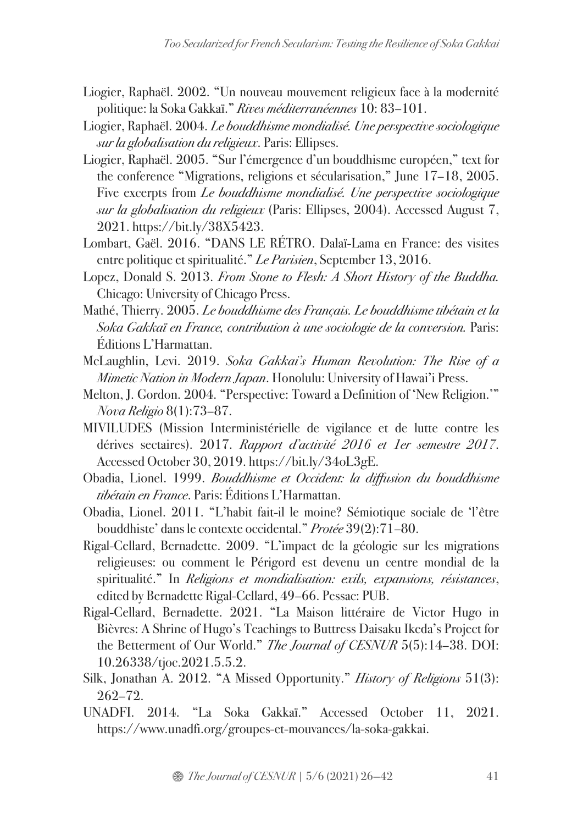- Liogier, Raphaël. 2002. "Un nouveau mouvement religieux face à la modernité politique: la Soka Gakkaï." *Rives méditerranéennes* 10: 83–101.
- Liogier, Raphaël. 2004. *Le bouddhisme mondialisé. Une perspective sociologique sur la globalisation du religieux*. Paris: Ellipses.
- Liogier, Raphaël. 2005. "Sur l'émergence d'un bouddhisme européen," text for the conference "Migrations, religions et sécularisation," June 17–18, 2005. Five excerpts from *Le bouddhisme mondialisé. Une perspective sociologique sur la globalisation du religieux* (Paris: Ellipses, 2004). Accessed August 7, 2021. https://bit.ly/38X5423.
- Lombart, Gaël. 2016. "DANS LE RÉTRO. Dalaï-Lama en France: des visites entre politique et spiritualité." *Le Parisien*, September 13, 2016.
- Lopez, Donald S. 2013. *From Stone to Flesh: A Short History of the Buddha.*  Chicago: University of Chicago Press.
- Mathé, Thierry. 2005. *Le bouddhisme des Français. Le bouddhisme tibétain et la Soka Gakkaï en France, contribution à une sociologie de la conversion.* Paris: Éditions L'Harmattan.
- McLaughlin, Levi. 2019. *Soka Gakkai's Human Revolution: The Rise of a Mimetic Nation in Modern Japan*. Honolulu: University of Hawai'i Press.
- Melton, J. Gordon. 2004. "Perspective: Toward a Definition of 'New Religion.'" *Nova Religio* 8(1):73–87.
- MIVILUDES (Mission Interministérielle de vigilance et de lutte contre les dérives sectaires). 2017. *Rapport d'activité 2016 et 1er semestre 2017*. Accessed October 30, 2019. https://bit.ly/34oL3gE.
- Obadia, Lionel. 1999. *Bouddhisme et Occident: la diffusion du bouddhisme tibétain en France*. Paris: Éditions L'Harmattan.
- Obadia, Lionel. 2011. "L'habit fait-il le moine? Sémiotique sociale de 'l'être bouddhiste' dans le contexte occidental." *Protée* 39(2):71–80.
- Rigal-Cellard, Bernadette. 2009. "L'impact de la géologie sur les migrations religieuses: ou comment le Périgord est devenu un centre mondial de la spiritualité." In *Religions et mondialisation: exils, expansions, résistances*, edited by Bernadette Rigal-Cellard, 49–66. Pessac: PUB.
- Rigal-Cellard, Bernadette. 2021. "La Maison littéraire de Victor Hugo in Bièvres: A Shrine of Hugo's Teachings to Buttress Daisaku Ikeda's Project for the Betterment of Our World." *The Journal of CESNUR* 5(5):14–38. DOI: 10.26338/tjoc.2021.5.5.2.
- Silk, Jonathan A. 2012. "A Missed Opportunity." *History of Religions* 51(3): 262–72.
- UNADFI. 2014. "La Soka Gakkaï." Accessed October 11, 2021. https://www.unadfi.org/groupes-et-mouvances/la-soka-gakkai.